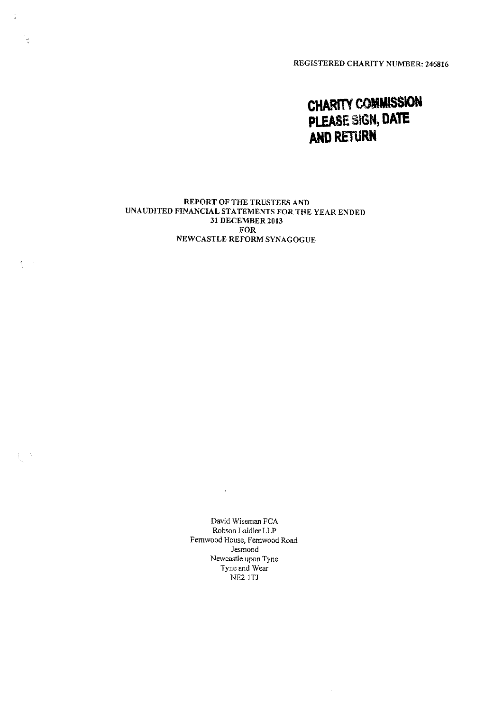REGISTERED CHARITY NUMBER: 246816

# **CHARITY COMMISSION** PLEASE SIGN, DATE **AND RETURN**

#### REPORT OF THE TRUSTEES AND UNAUDITED FINANCIAL STATEMENTS FOR THE YEAR ENDED 31 DECEMBER 2013 FOR NEWCASTLE REFORM SYNAGOGUE

 $\frac{1}{\sqrt{2}}$ 

ię,

 $\langle \cdot \rangle$ 

 $\left\{ \begin{array}{c} 1 \\ 1 \end{array} \right.$ 

David Wiseman FCA Robson Laidier LLP Femwood House, Fernwood Road Jesmond Newcastle upon Tyne Tyne and Wear NE2 1TJ

 $\bar{\mathcal{A}}$ 

 $\sim 100$  km s  $^{-1}$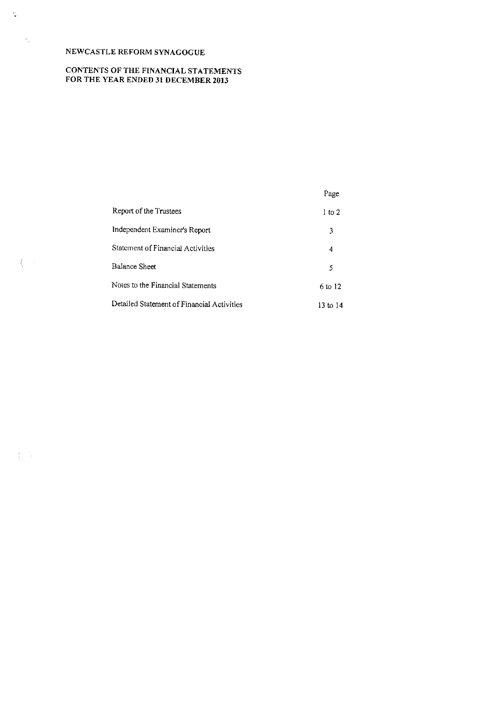$\mathcal{O}$ 

 $\gamma_{\rm g}$ 

 $\int_{\Omega_{\rm{eff}}}^{\infty} \omega_{\rm{eff}}$ 

 $\int_{\Sigma_{\rm L}} \frac{1}{T}$ 

# CONTENTS OF THE FINANCIAL STATEMENTS FOR THE YEAR ENDED 31 DECEMBER 2013

|                                            | Page              |
|--------------------------------------------|-------------------|
| Report of the Trustees                     | $1 \text{ to } 2$ |
| Independent Examiner's Report              | 3                 |
| Statement of Financial Activities          | 4                 |
| <b>Balance Sheet</b>                       | 5                 |
| Notes to the Financial Statements          | 6 to 12           |
| Detailed Statement of Financial Activities | 13 to 14          |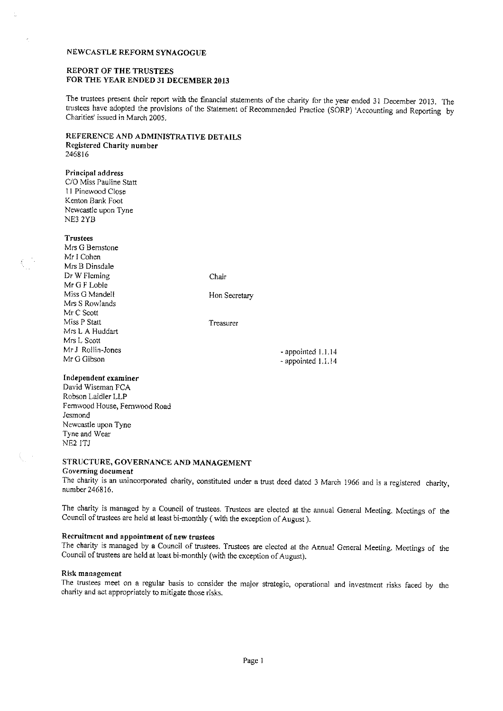#### REPORT OF THE TRUSTEES FOR THE YEAR ENDED 31 DECEMBER 2013

The trustees present their report with the financial statements of the charity for the year ended 31 December 2013, The trustees have adopted the provisions of the Statement of Recommended Practice (SORP) 'Accounting and Reporting by Charities' issued in March 2005.

#### REFERENCE AND ADMINISTRATIVE DETAILS Registered Charity number 246816

Principal address C/0 Miss Pauline Statt 11 Pinewood Close Kenton Bank Foot Newcastle upon Tyne

#### **Trustees**

NE3 2YB

Mrs G Bernstone Mr I Cohen Mrs B Dinsdale Dr W Fleming Mr G F Loble Miss G Mandeil Mrs S Rowlands Mr C Scott Miss P Statt Mrs L A Huddart Mrs L Scott Mr J Rollin-Jones Mr G Gibson

Chair

Hon Secretary

Treasurer

- appointed 1.1.<sup>14</sup> - appointed 1.1.14

#### Independent examiner

David Wiseman FCA Robson Laidler LLP Femwood House, Fernwood Road Jesmond Newcastle upon Tyne Tyne and Wear NE2 ITJ

# STRUCTURE, GOVERNANCE AND MANAGEMENT

# Governing document

The charity is an unincorporated charity, constituted under a trust deed dated 3 March 1966 and is a registered charity, number 246816.

The charity is managed by <sup>a</sup> Council of trustees. Trustees are elected at the annual General Meeting, Meetings of the Council of trustees are held at least bi-monthly (with the exception of August).

# Recruitment and appointment of new trustees

The charity is managed by <sup>a</sup> Council of trustees. Trustees are elected at the Annua! General Meeting. Meetings of the Council of trustees are held at least bi-monthly (with the exception of August).

#### Risk management

The trustees meet on a regular basis to consider the major strategic, operational and investment risks faced by the charity and act appropriately to mitigate those risks.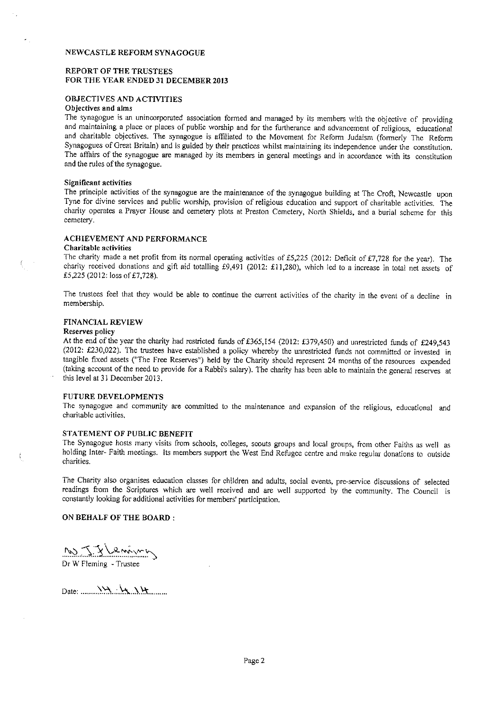#### REPORT OF THE TRUSTEES FOR THE YEAR ENDED 31 DECEMBER 2013

#### OBJECTIVES AND ACTIVITIES

# Objectives and alms

The synagogue is an unincorporated association formed and managed by its members with the objective of providing and maintaining a place or places of public worship and for the furtherance and advancement of religious, educational and charitable objectives. The synagogue is affiliated to the Movement for Reform Judaism (formerly The Reform Synagogues of Great Britain) and is guided by their practices whilst maintaining its independence under the constitution. The affairs of the synagogue are managed by its members in general meetings and in accordance with its constitution and the rules of the synagogue.

#### Significant activities

The principle activities of the synagogue are the maintenance of the synagogue building at The Croft, Newcastle upon Tyne for divine services and public worship, provision of religious education and support of charitable activities. The charity operates a Prayer House and cemetery plots at Preston Cemetery, North Shields, and a burial scheme for this cemetery.

# ACHIEVEMENT AND PERFORMANCE

#### Charitable activities

The charity made a net profit from its normal operating activities of £5,225 (2012: Deficit of £7,728 for the year). The charity received donations and gift aid totalling £9,491 (2012: £11,280), which led to a increase in total net assets of £5.225 (2012: loss of £7.728).

The trustees feel that they would be able to continue the current activities of the charity in the event of a decline in membership.

#### FINANCIAL REVIEW

#### Reserves policy

At the end of the year the charity had restricted funds of £365,154 (2012: £379,450) and unrestricted funds of £249,543 (2012: f230,022). The trustees have established a policy whereby the unrestricted funds not committed or invested in tangible fixed assets ("The Free Reserves") held by the Charity should represent 24 months of the resources expended (taking account of the need to provide for a Rabbi's salary). The charity has been able to maintain the general reserves at this level at 31 December 2013.

#### FUTURE DEVELOPMENTS

The synagogue and community are committed to the maintenance and expansion of the religious, educational and charitable activities,

#### STATEMENT OF PUBLIC BENEFIT

The Synagogue hosts many visits from schools, colleges, scouts groups and local groups, from other Faiths as well as holding Inter- Faith meetings. Its members support the West End Refugee centre and make regular donations to outside charities.

The Charity also organises education classes for children and adults, social events, pre-service discussions of selected readings from the Scriptures which are well received and are well supported by the community. The Council is constantly looking for additional activities for members' participation.

#### ON BEHALF OF THE BOARD:

Dr W Fleming - Trustee

Date:  $X \rightarrow X \rightarrow X \rightarrow Y$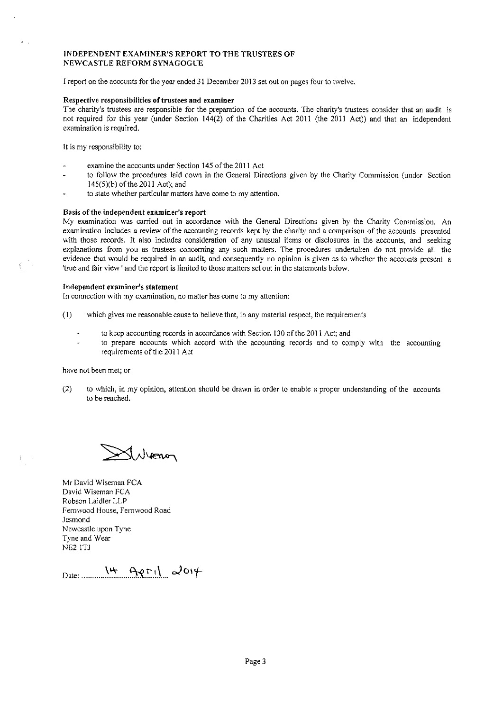#### INDEPENDENT EXAMINER'S REPORT TO THE TRUSTEES OF NEWCASTLE REFORM SYNAGOGUE

<sup>I</sup> report on the accounts for the year ended 31 December 2013 set out on pages four to twelve.

### Respective responsibilities of trustees and examiner

The charity's trustees are responsible for the preparation of the accounts. The charity's trustees consider that an audit is not required for this year (under Section 144(2) of the Charities Act 2011 (the 2011 Act)) and that an independent examination is required.

It is my responsibility to:

- examine the accounts under Section 145 of the 2011 Act
- to follow the procedures laid down in the General Directions given by the Charity Commission (under Section  $145(5)(b)$  of the 2011 Act); and
- to state whether particular matters have come to my attention.

#### Basis of the independent examiner's report

My examination was carried out in accordance with the General Directions given by the Charity Commission. An examination includes a review of the accounting records kept by the charity and a comparison of the accounts presented with those records. It also includes consideration of any unusual items or disclosures in the accounts, and seeking explanations from you as trustees concerning any such matters. The procedures undertaken do not provide all the evidence that would be required in an audit, and consequently no opinion is given as to whether the accounts present a 'true and fair view ' and the report is limited to those matters set out in the statements below

#### Independent examiner's statement

In connection with my examination, no matter has come to my attention:

- (I) which gives me reasonable cause to believe that, in any material respect, the requirements
	- to keep accounting records in accordance with Section 130 of the 2011 Act; and
	- to prepare accounts which accord with the accounting records and to comply with the accounting requirements of the 2011 Act

have not been met; or

(2) to which, in my opinion, attention should be drawn in order to enable a proper understanding of the accounts to be reached.

Whenon

Mr David Wiseman FCA David Wiseman FCA Robson Laidler LLP Femrvood House, Femwood Road Jesmond Newcastle upon Tyne Tyne and Wear NE2 ITJ

Date: 14 APril 20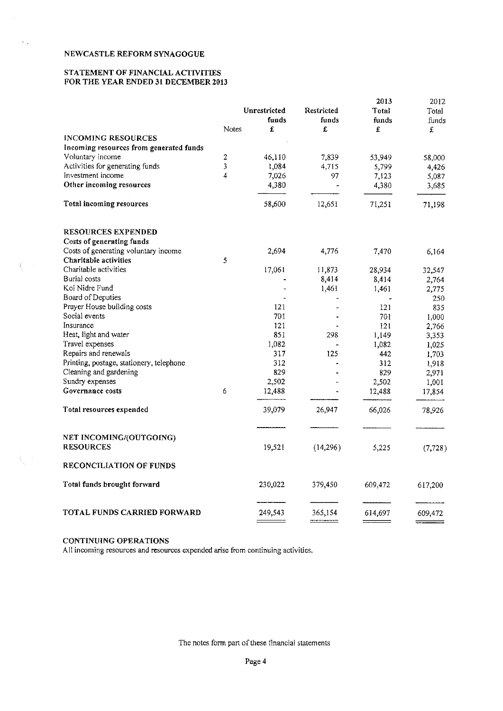$\hat{\theta}_{\rm max}$ 

 $\int_{\Omega_{\rm{eff}}}^{\infty} \frac{d\mu}{\lambda} d\mu$ 

 $\bigcup_{i=1}^n \mathcal{I}_i$ 

# STATEMENT OF FINANCIAL ACTIVITIES FOR THE YEAR ENDED 31 DECEMBER 2013

|                                          |       | Unrestricted   | Restricted     | 2013<br>Total  | 2012       |
|------------------------------------------|-------|----------------|----------------|----------------|------------|
|                                          |       | funds          | funds          |                | Total      |
|                                          | Notes | £              | £              | funds<br>£     | funds<br>£ |
| <b>INCOMING RESOURCES</b>                |       |                |                |                |            |
| Incoming resources from generated funds  |       |                |                |                |            |
| Voluntary income                         | 2     | 46,110         | 7,839          | 53,949         |            |
| Activities for generating funds          | 3     | 1,084          | 4.715          |                | 58,000     |
| Investment income                        | 4     | 7,026          | 97             | 5,799<br>7,123 | 4,426      |
| Other incoming resources                 |       | 4,380          | $\overline{a}$ | 4,380          | 5,087      |
|                                          |       |                |                |                | 3,685      |
| Total incoming resources                 |       | 58,600         | 12,651         | 71,251         | 71,198     |
| <b>RESOURCES EXPENDED</b>                |       |                |                |                |            |
| Costs of generating funds                |       |                |                |                |            |
| Costs of generating voluntary income     |       | 2,694          | 4,776          | 7,470          | 6,164      |
| Charitable activities                    | 5     |                |                |                |            |
| Charitable activities                    |       | 17,061         | 11,873         | 28,934         | 32,547     |
| Burial costs                             |       |                | 8,414          | 8,414          | 2,764      |
| Kol Nidre Fund                           |       | $\overline{a}$ | 1,461          | 1,461          | 2,775      |
| Board of Deputies                        |       |                |                |                | 250        |
| Prayer House building costs              |       | 121            |                | 121            | 835        |
| Social events                            |       | 701            |                | 701            | 1,000      |
| Insurance                                |       | 121            |                | 121            | 2,766      |
| Heat, light and water                    |       | 851            | 298            | 1,149          | 3,353      |
| Travel expenses                          |       | 1,082          |                | 1,082          | 1,025      |
| Repairs and renewals                     |       | 317            | 125            | 442            | 1,703      |
| Printing, postage, stationery, telephone |       | 312            |                | 312            | 1,918      |
| Cleaning and gardening                   |       | 829            |                | 829            | 2,971      |
| Sundry expenses                          |       | 2,502          |                | 2,502          | 1,001      |
| Governance costs                         | 6     | 12,488         |                | 12,488         | 17,854     |
| Total resources expended                 |       | 39,079         | 26,947         | 66,026         | 78,926     |
| NET INCOMING/(OUTGOING)                  |       |                |                |                |            |
| <b>RESOURCES</b>                         |       | 19,521         | (14,296)       | 5,225          | (7, 728)   |
| <b>RECONCILIATION OF FUNDS</b>           |       |                |                |                |            |
| Total funds brought forward              |       | 230,022        | 379,450        | 609,472        | 617,200    |
| TOTAL FUNDS CARRIED FORWARD              |       | 249,543        | 365,154        | 614,697        | 609,472    |
|                                          |       |                | ====           |                |            |

# CONTINUING OPERATIONS

All incoming resources and resources expended arise from continuing activities.

The notes form part of these financial statements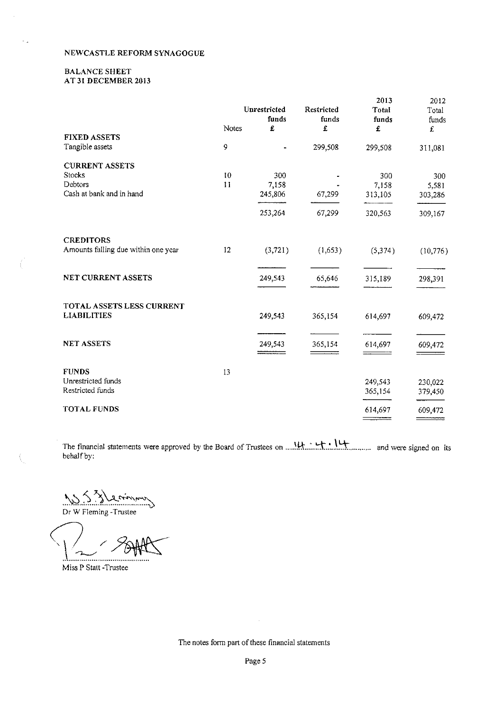#### BALANCE SHEET AT 31 DECEMBER 2013

|                                        |       | Unrestricted | Restricted               | 2013<br>Total | 2012<br>Total |
|----------------------------------------|-------|--------------|--------------------------|---------------|---------------|
|                                        |       | funds        | funds                    | funds         | funds         |
|                                        | Notes | £            | £                        | £             | £             |
| <b>FIXED ASSETS</b><br>Tangible assets | 9     |              | 299,508                  | 299,508       | 311,081       |
| <b>CURRENT ASSETS</b>                  |       |              |                          |               |               |
| <b>Stocks</b>                          | 10    | 300          |                          | 300           | 300           |
| Debtors                                | 11    | 7,158        |                          | 7,158         | 5,581         |
| Cash at bank and in hand               |       | 245,806      | 67,299                   | 313,105       | 303,286       |
|                                        |       | 253,264      | 67,299                   | 320,563       | 309,167       |
| <b>CREDITORS</b>                       |       |              |                          |               |               |
| Amounts falling due within one year    | 12    | (3, 721)     | (1,653)                  | (5, 374)      | (10, 776)     |
| <b>NET CURRENT ASSETS</b>              |       | 249,543      | 65,646                   | 315,189       | 298,391       |
| TOTAL ASSETS LESS CURRENT              |       |              |                          |               |               |
| <b>LIABILITIES</b>                     |       | 249,543      | 365,154                  | 614,697       | 609,472       |
| <b>NET ASSETS</b>                      |       | 249,543      | 365,154                  | 614,697       | 609,472       |
|                                        |       |              | $\overline{\phantom{a}}$ |               |               |
| <b>FUNDS</b>                           | 13    |              |                          |               |               |
| Unrestricted funds                     |       |              |                          | 249,543       | 230,022       |
| Restricted funds                       |       |              |                          | 365,154       | 379,450       |
| <b>TOTAL FUNDS</b>                     |       |              |                          | 614,697       | 609,472       |

The financial statements were approved by the Board of Trustees on ......H......W.., .......F......, ..... and were signed on its behalf by:

Dr W Fleming - Trustee

. . . . . . . . . . . . . .

Miss P Statt -Trustee

The notes form part of these financial statements

 $\bar{\lambda}$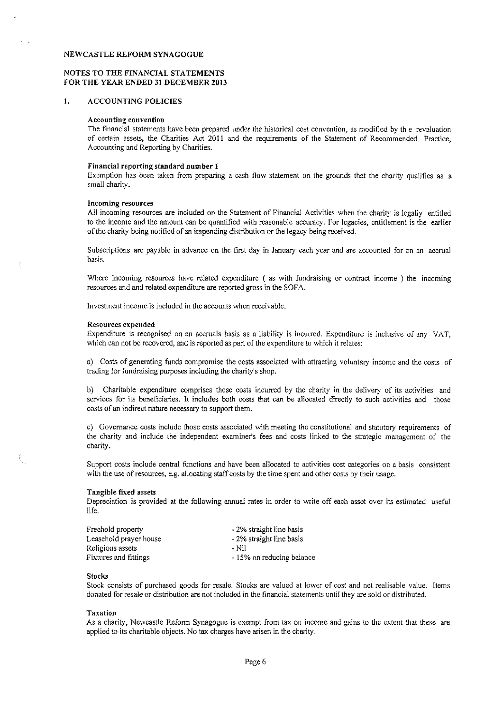#### NOTES TO THE FINANCIAL STATEMENTS FOR THE YEAR ENDED 31 DECEMBER 2013

#### $\mathbf{1}$ . ACCOUNTING POLICIES

#### Accounting convention

The financial statements have been prepared under the historical cost convention, as modified by th e revaluation of certain assets, the Charities Act 2011 and the requirements of the Statement of Recommended Practice, Accounting and Reporting by Charities.

#### Financial reporting standard number I

Exemption has been taken from preparing a cash flow statement on the grounds that the charity qualifies as a small charity.

#### Incoming resources

All incoming resources are included on the Statement of Financial Activities when the charity is legally entitled to the income and the amount can be quantified with reasonable accuracy. For legacies, entitlement is the earlier of the charity being notified of an impending distribution or the legacy being received.

Subscriptions are payable in advance on the first day in January each year and are accounted for on an accrual basis.

Where incoming resources have related expenditure ( as with fundraising or contract income ) the incoming resources and and related expenditure are reported gross in the SOFA.

Investment income is included in the accounts when receivable.

#### Resources expended

Expenditure is recognised on an accruals basis as a liability is incurred. Expenditure is inclusive of any VAT, which can not be recovered, and is reported as part of the expenditure to which it relates:

a) Costs of generating funds compromise the costs associated with attracting voluntary income and the costs of trading for fundraising purposes including the charity's shop.

b) Charitable expenditure comprises those costs incurred by the charity in the delivery of its activities and services for its beneficiaries. It includes both costs that can be allocated directly to such activities and those costs of an indirect nature necessary to support them.

c) Governance costs include those costs associated with meeting the constitutional and statutory requirements of the charity and include the independent examiner's fees and costs linked to the strategic management of the charity.

Support costs include central functions and have been allocated to activities cost categories on a basis consistent with the use of resources, e.g. allocating staff costs by the time spent and other costs by their usage.

#### Tangible fixed assets

Depreciation is provided at the following annual rates in order to write off each asset over its estimated useful life.

| Freehold property      | - 2% straight line basis  |
|------------------------|---------------------------|
| Leasehold prayer house | - 2% straight line basis  |
| Religious assets       | - Nil                     |
| Fixtures and fittings  | - 15% on reducing balance |

#### Stocks

 $\Big\langle \Big\rangle_{\alpha}$  .

Stock consists of purchased goods for resale. Stocks are valued at lower of cost and net realisable value. Items donated for resale or distribution are not included in the financial statements until they are sold or distributed.

#### Taxation

As a charity, Newcastle Reform Synagogue is exempt from tax on income and gains to the extent that these are applied to its charitable objects. No tax charges have arisen in the charity.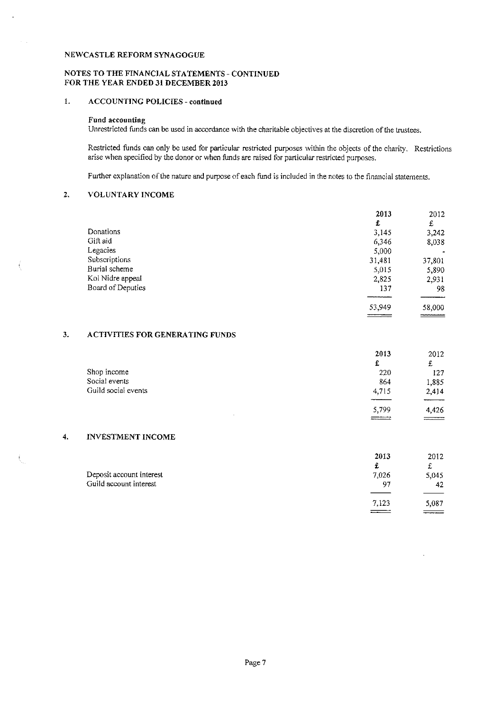#### NOTES TO THE FINANCIAL STATEMENTS —CONTINUED FOR THE YEAR ENDED 31 DECEMBER 2013

# 1. ACCOUNTING POLICIES - continued

# Fund accounting

Unrestricted funds can be used in accordance with the charitable objectives at the discretion of the trustees.

Restricted funds can only be used for particular restricted purposes within the objects of the charity. Restrictions arise when specified by the donor or when funds are raised for particular restricted purposes.

Further explanation of the nature and purpose of each fund is included in the notes to the financial statements,

#### 2. VOLUNTARY INCOME

|                   | 2013   | 2012        |
|-------------------|--------|-------------|
|                   | £      | £           |
| Donations         | 3,145  | 3,242       |
| Gift aid          | 6,346  | 8,038       |
| Legacies          | 5,000  |             |
| Subscriptions     | 31,481 | 37,801      |
| Burial scheme     | 5,015  | 5,890       |
| Kol Nidre appeal  | 2,825  | 2,931       |
| Board of Deputies | 137    | 98          |
|                   |        |             |
|                   | 53,949 | 58,000      |
|                   |        | ___________ |

# 3. ACTIVITIES FOR GENERATING FUNDS

|                     | 2013  | 2012                                                                                                                                                                                                                                                                                                                                                                                                                                       |
|---------------------|-------|--------------------------------------------------------------------------------------------------------------------------------------------------------------------------------------------------------------------------------------------------------------------------------------------------------------------------------------------------------------------------------------------------------------------------------------------|
|                     | £     | £                                                                                                                                                                                                                                                                                                                                                                                                                                          |
| Shop income         | 220   | 127                                                                                                                                                                                                                                                                                                                                                                                                                                        |
| Social events       | 864   | 1,885                                                                                                                                                                                                                                                                                                                                                                                                                                      |
| Guild social events | 4,715 | 2,414                                                                                                                                                                                                                                                                                                                                                                                                                                      |
|                     |       |                                                                                                                                                                                                                                                                                                                                                                                                                                            |
| <b>COL</b>          | 5,799 | 4,426                                                                                                                                                                                                                                                                                                                                                                                                                                      |
|                     |       | $\frac{1}{\sqrt{1-\frac{1}{2}}\left(1-\frac{1}{2}\right)}=\frac{1}{2\sqrt{1-\frac{1}{2}}\left(1-\frac{1}{2}\right)}=\frac{1}{2\sqrt{1-\frac{1}{2}}\left(1-\frac{1}{2}\right)}=\frac{1}{2\sqrt{1-\frac{1}{2}}\left(1-\frac{1}{2}\right)}=\frac{1}{2\sqrt{1-\frac{1}{2}}\left(1-\frac{1}{2}\right)}=\frac{1}{2\sqrt{1-\frac{1}{2}}\left(1-\frac{1}{2}\right)}=\frac{1}{2\sqrt{1-\frac{1}{2}}\left(1-\frac{1}{2}\right)}=\frac{1}{2\sqrt{1-\$ |

#### 4. INVESTMENT INCOME

|                          | 2013  | 2012      |
|--------------------------|-------|-----------|
|                          |       | ᅭ         |
| Deposit account interest | 7,026 | 5,045     |
| Guild account interest   | -97   | 42        |
|                          |       |           |
|                          | 7,123 | 5,087     |
|                          |       | --------- |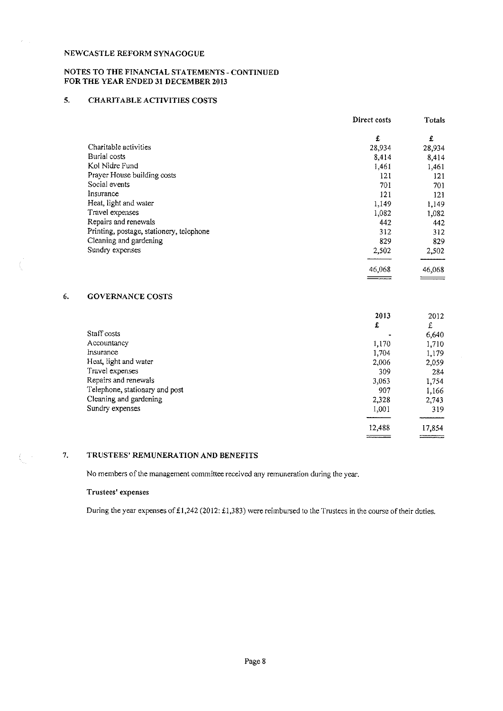# NOTES TO THE FINANCIAL STATEMENTS - CONTINUED FOR THE YEAR ENDED 31 DECEMBER 2013

# 5. CHARITABLE ACTIVITIES COSTS

|                                          | Direct costs | Totals |
|------------------------------------------|--------------|--------|
|                                          | £            | £      |
| Charitable activities                    | 28,934       | 28,934 |
| Burial costs                             | 8,414        | 8,414  |
| Kol Nidre Fund                           | 1,461        | 1,461  |
| Prayer House building costs              | 121          | 121    |
| Social events                            | 701          | 701    |
| Insurance                                | 121          | 121    |
| Heat, light and water                    | 1,149        | 1,149  |
| Travel expenses                          | 1,082        | 1,082  |
| Repairs and renewals                     | 442          | 442    |
| Printing, postage, stationery, telephone | 312          | 312    |
| Cleaning and gardening                   | 829          | 829    |
| Sundry expenses                          | 2,502        | 2,502  |
|                                          | 46,068       | 46,068 |
|                                          | ----------   |        |

# 6. GOVERNANCE COSTS

|                                | 2013   | 2012   |
|--------------------------------|--------|--------|
|                                | £      | £      |
| Staff costs                    |        | 6,640  |
| Accountancy                    | 1,170  | 1,710  |
| Insurance                      | 1,704  | 1,179  |
| Heat, light and water          | 2,006  | 2,059  |
| Travel expenses                | 309    | 284    |
| Repairs and renewals           | 3,063  | 1,754  |
| Telephone, stationary and post | 907    | 1,166  |
| Cleaning and gardening         | 2,328  | 2,743  |
| Sundry expenses                | 1,001  | 319    |
|                                | 12,488 | 17,854 |

#### $7.$ TRUSTEES' REMUNERATION AND BENEFITS

No members of the management committee received any remuneration during the year.

# Trustees' expenses

During the year expenses of £1,242 (2012: £1,383) were reimbursed to the Trustees in the course of their duties,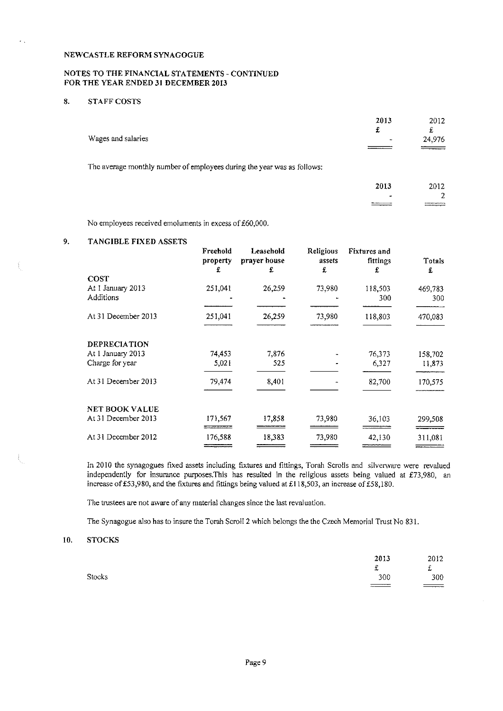# NOTES TO THE FINANCIAL STATEMENTS - CONTINUED FOR THE YEAR ENDED 31 DECEMBER 2013

# 8. STAFF COSTS

k.

| Wages and salaries                                                      | 2013<br>£<br>- | 2012<br>£<br>24,976    |
|-------------------------------------------------------------------------|----------------|------------------------|
| The average monthly number of employees during the year was as follows: |                |                        |
|                                                                         | 2013           | 2012<br>$\overline{2}$ |

 $\frac{1}{2}$ 

No employees received emoluments in excess of £60,000.

#### 9. TANGIBLE FIXED ASSETS

| Freehold<br>property<br>£ | Leasehold<br>prayer house<br>£ | Religious<br>assets<br>£ | <b>Fixtures</b> and<br>fittings<br>£ | Totals<br>£    |
|---------------------------|--------------------------------|--------------------------|--------------------------------------|----------------|
|                           |                                |                          |                                      |                |
| 251,041                   | 26,259                         | 73,980                   | 118,503<br>300                       | 469,783<br>300 |
| 251,041                   | 26,259                         | 73,980                   | 118,803                              | 470,083        |
|                           |                                |                          |                                      |                |
| 74,453                    | 7,876                          |                          |                                      | 158,702        |
| 5,021                     | 525                            |                          | 6,327                                | 11,873         |
| 79,474                    | 8,401                          |                          | 82,700                               | 170,575        |
|                           |                                |                          |                                      |                |
| 171,567                   | 17,858                         | 73,980                   | 36,103                               | 299,508        |
| 176,588                   | 18,383                         | 73,980                   | 42,130                               | 311,081        |
|                           |                                | ----- <del>-------</del> |                                      | 76,373         |

ln 2010 the synagogues fixed assets including fixtures and fittings, Torah Scrolls and silverware were revalued independently for insurance purposes. This has resulted in the religious assets being valued at £73,980, an increase of £53,980, and the fixtures and fittings being valued at £118,503, an increase of £58,180.

The trustees are not aware of any material changes since the last revaluation.

The Synagogue also has to insure the Torah Scroll 2 which belongs the the Czech Memorial Trust No 831.

#### 10. STOCKS

|        | 2013<br>يان | 2012<br>f |
|--------|-------------|-----------|
| Stocks | 300         | 300       |
|        | $\equiv$    |           |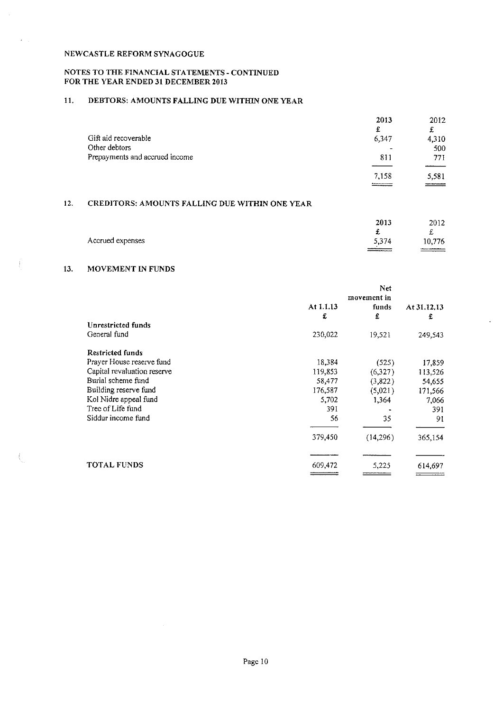# NOTES TO THE FINANCIAL STATEMENTS - CONTINUED FOR THE YEAR ENDED 31 DECEMBER 2013

# 11. DEBTORS: AMOUNTS FALLING DUE WITHIN ONE YEAR

|                                | 2013  | 2012   |
|--------------------------------|-------|--------|
|                                | £     | £      |
| Gift aid recoverable           | 6,347 | 4,310  |
| Other debtors                  |       | 500    |
| Prepayments and accrued income | 811   | 771    |
|                                | 7,158 | 5,581  |
|                                |       | ------ |

# 12. CREDITORS; AMOUNTS FALLING DUE WITHIN ONE YEAR

|                  | 2013  | 2012   |
|------------------|-------|--------|
|                  |       |        |
| Accrued expenses | 5,374 | 10,776 |
|                  |       |        |

# 13. MOVEMENT IN FUNDS

|                             |           | <b>Net</b>  |             |
|-----------------------------|-----------|-------------|-------------|
|                             |           | movement in |             |
|                             | At 1.1.13 | funds       | At 31.12.13 |
|                             | £         | £           | £           |
| Unrestricted funds          |           |             |             |
| General fund                | 230,022   | 19,521      | 249,543     |
| <b>Restricted funds</b>     |           |             |             |
| Prayer House reserve fund   | 18,384    | (525)       | 17,859      |
| Capital revaluation reserve | 119,853   | (6,327)     | 113,526     |
| Burial scheme fund          | 58,477    | (3,822)     | 54,655      |
| Building reserve fund       | 176,587   | (5,021)     | 171,566     |
| Kol Nidre appeal fund       | 5,702     | 1,364       | 7,066       |
| Tree of Life fund           | 391       |             | 391         |
| Siddur income fund          | 56        | 35          | 91          |
|                             | 379,450   | (14,296)    | 365,154     |
| <b>TOTAL FUNDS</b>          | 609,472   |             |             |
|                             |           | 5,225       | 614,697     |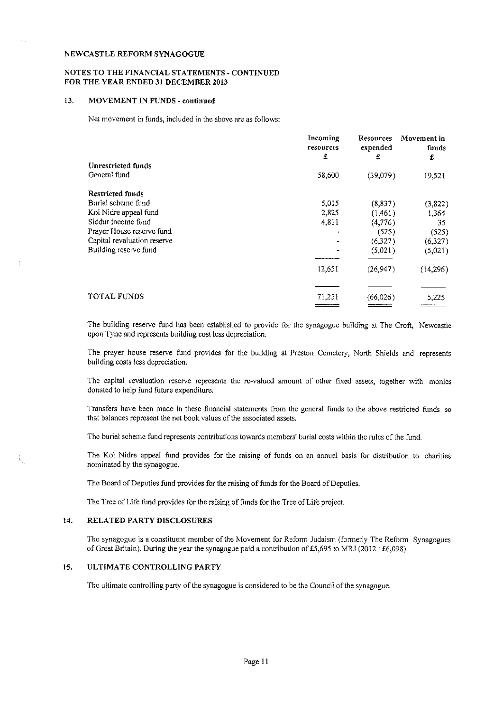#### NOTES TO THE FINANCIAL STATEMENTS - CONTINUED FOR THE YEAR ENDED 31 DECEMBER 2013

#### 13. MOVEMENT IN FUNDS - continued

Net movement in funds, included in the above are as follows:

|                             | Incoming<br>resources<br>£ | <b>Resources</b><br>expended<br>£ | Movement in<br>funds<br>£ |
|-----------------------------|----------------------------|-----------------------------------|---------------------------|
| Unrestricted funds          |                            |                                   |                           |
| General fund                | 58,600                     | (39,079)                          | 19,521                    |
| <b>Restricted funds</b>     |                            |                                   |                           |
| Burial scheme fund          | 5,015                      | (8,837)                           | (3,822)                   |
| Kol Nidre appeal fund       | 2,825                      | (1,461)                           | 1,364                     |
| Siddur income fund          | 4,811                      | (4, 776)                          | 35                        |
| Prayer House reserve fund   |                            | (525)                             | (525)                     |
| Capital revaluation reserve |                            | (6,327)                           | (6,327)                   |
| Building reserve fund       |                            | (5,021)                           | (5,021)                   |
|                             | 12,651                     | (26,947)                          | (14,296)                  |
|                             |                            |                                   |                           |
| <b>TOTAL FUNDS</b>          | 71,251                     | (66,026)                          | 5,225                     |
|                             |                            |                                   |                           |

The building reserve fund has been established to provide for the synagogue building at The Crofi, Newcastle upon Tyne and represents building cost less depreciation.

The prayer house reserve fund provides for the building at Preston Cemetery, North Shields and represents building costs less depreciation.

The capital revaluation reserve represents the re-valued amount of other fixed assets, together with monies donated to help fund future expenditure,

Transfers have been made in these financial statements from the general funds to the above restricted funds so that balances represent the net book values of the associated assets.

Thc burial scheme fund represents contributions towards members' burial costs within the rules ofthe fund.

The Kol Nidre appeal fund provides for the raising of funds on an annual basis for distribution to charities nominated by the synagogue.

The Board of Deputies fund provides for the raising of funds for the Board of Deputies.

The Tree of Life fund provides for the raising of funds for the Tree of Life project.

#### 14. RELATED PARTY DISCLOSURES

ŧ.

The synagogue is a constituent member of the Movement for Reform Judaism (formerly The Reform Synagogues of Great Britain). During the year the synagogue paid a contribution of £5,695 to MRJ (2012: £6,098).

#### 15. ULTIMATE CONTROLLING PARTY

The ultimate controlling party of the synagogue is considered to be the Council of the synagogue.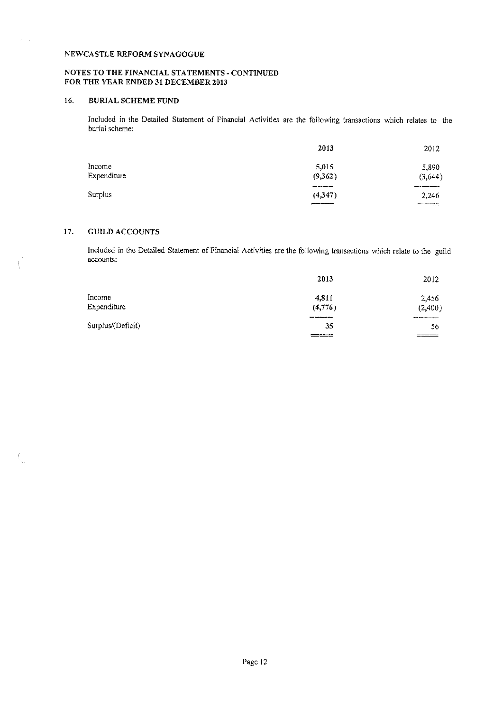# NOTES TO THE FINANCIAL STATEMENTS - CONTINUED FOR THE YEAR ENDED 31 DECEMBER 2013

# 16. BURIAL SCHEME FUND

 $\mathcal{L}$ 

 $\langle$ 

ţ.

Included in the Detailed Statement of Financial Activities are the following transactions which relates to the burial scheme:

|             | 2013      | 2012                |
|-------------|-----------|---------------------|
| Income      | 5.015     | 5,890               |
| Expenditure | (9.362)   | (3,644)             |
|             | --------- |                     |
| Surplus     | (4,347)   | 2.246               |
|             | ______    | ------------------- |

# 17. GUILD ACCOUNTS

Included in the Detailed Statement of Financial Activities are the following transactions which relate to the guild accounts:

|                   | 2013        | 2012         |
|-------------------|-------------|--------------|
| Income            | 4811        | 2,456        |
| Expenditure       | (4,776)     | (2,400)      |
|                   | ----------- | ------------ |
| Surplus/(Deficit) | 35          | 56           |
|                   |             | ----         |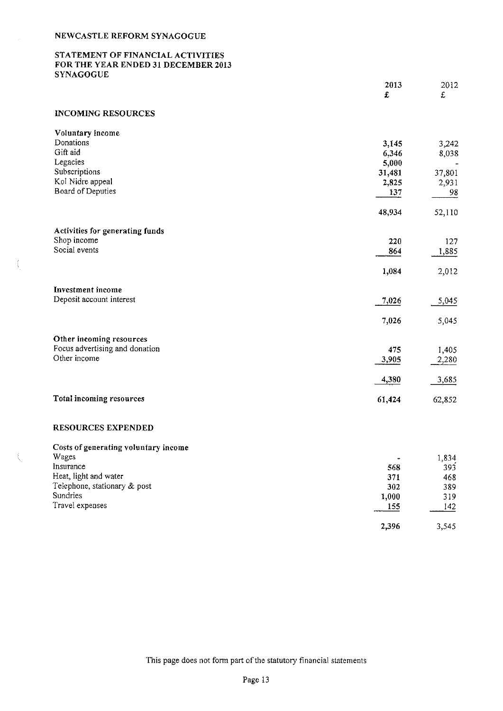$\langle$ 

# STATEMENT OF FINANCIAL ACTIVITIES FOR THE YEAR ENDED 31 DECEMBER 2013 **SYNAGOGUE**

|                                          | 2013           | 2012       |
|------------------------------------------|----------------|------------|
|                                          | £              | £          |
| <b>INCOMING RESOURCES</b>                |                |            |
| Voluntary income                         |                |            |
| Donations<br>Gift aid                    | 3,145<br>6,346 | 3,242      |
| Legacies                                 | 5,000          | 8,038      |
| Subscriptions                            | 31,481         | 37,801     |
| Kol Nidre appeal                         | 2,825          | 2,931      |
| Board of Deputies                        | 137            | 98         |
|                                          | 48,934         | 52,110     |
| Activities for generating funds          |                |            |
| Shop income                              | 220            | 127        |
| Social events                            | 864            | 1,885      |
|                                          | 1,084          | 2,012      |
| Investment income                        |                |            |
| Deposit account interest                 | 7,026          | 5,045      |
|                                          | 7,026          | 5,045      |
| Other incoming resources                 |                |            |
| Focus advertising and donation           | 475            | 1,405      |
| Other income                             | 3,905          | 2,280      |
|                                          | 4,380          | 3,685      |
| Total incoming resources                 | 61,424         | 62,852     |
| <b>RESOURCES EXPENDED</b>                |                |            |
| Costs of generating voluntary income     |                |            |
| Wages                                    |                | 1,834      |
| Insurance                                | 568            | 393        |
| Heat, light and water                    | 371            | 468        |
| Telephone, stationary & post<br>Sundries | 302            | 389        |
| Travel expenses                          | 1,000<br>155   | 319<br>142 |
|                                          |                |            |

This page does not form part of the statutory financial statements

2,396 3,545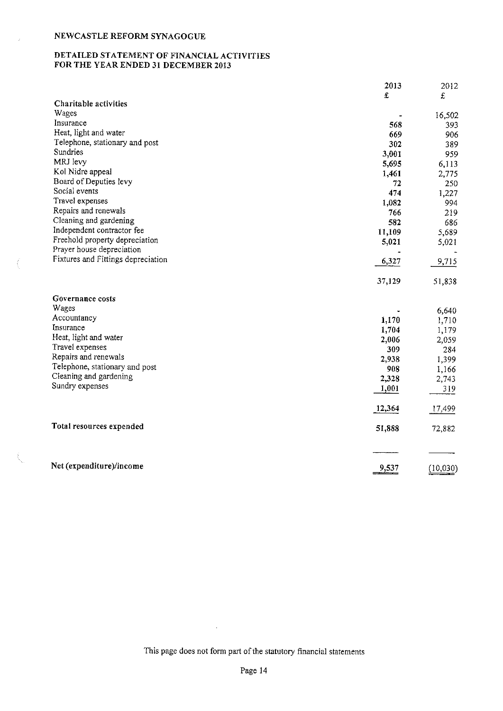$\tilde{\mathcal{L}}$ 

ŧ

# DETAILED STATEMENT OF FINANCIAL ACTIVITIES FOR THE YEAR ENDED 31 DECEMBER 2013

|                                    | 2013   | 2012     |
|------------------------------------|--------|----------|
|                                    | £      | £        |
| Charitable activities              |        |          |
| Wages                              |        | 16,502   |
| Insurance                          | 568    | 393      |
| Heat, light and water              | 669    | 906      |
| Telephone, stationary and post     | 302    | 389      |
| Sundries                           | 3,001  | 959      |
| MRJ levy                           | 5,695  | 6,113    |
| Kol Nidre appeal                   | 1,461  | 2,775    |
| Board of Deputies levy             | 72     | 250      |
| Social events                      | 474    | 1,227    |
| Travel expenses                    | 1,082  | 994      |
| Repairs and renewals               | 766    | 219      |
| Cleaning and gardening             | 582    | 686      |
| Independent contractor fee         | 11,109 | 5,689    |
| Freehold property depreciation     | 5,021  | 5,021    |
| Prayer house depreciation          |        |          |
| Fixtures and Fittings depreciation | 6,327  | 9,715    |
|                                    | 37,129 | 51,838   |
| Governance costs                   |        |          |
| Wages                              |        | 6,640    |
| Accountancy                        | 1,170  | 1,710    |
| Insurance                          | 1,704  | 1,179    |
| Heat, light and water              | 2,006  | 2,059    |
| Travel expenses                    | 309    | 284      |
| Repairs and renewals               | 2,938  | 1,399    |
| Telephone, stationary and post     | 908    | 1,166    |
| Cleaning and gardening             | 2,328  | 2,743    |
| Sundry expenses                    | 1,001  | 319      |
|                                    | 12,364 | 17,499   |
| Total resources expended           | 51,888 | 72,882   |
|                                    |        |          |
| Net (expenditure)/income           | 9,537  | (10,030) |

This page does not form part of the statutory financial statements

 $\sim$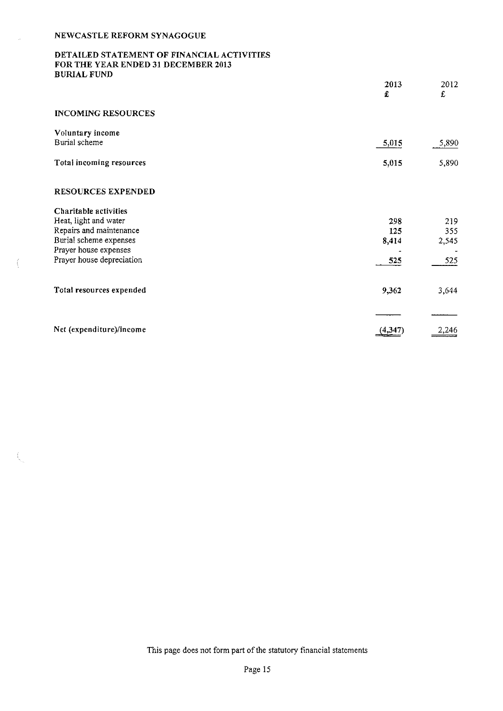Í

 $\hat{\zeta}_a$ 

# DETAILED STATEMENT OF FINANCIAL ACTIVITIES FOR THE YEAR ENDED 31 DECEMBER 2013 BURIAL FUND

|                                                    | 2013<br>£    | 2012<br>£    |
|----------------------------------------------------|--------------|--------------|
| <b>INCOMING RESOURCES</b>                          |              |              |
| Voluntary income<br>Burial scheme                  | 5,015        | 5,890        |
| Total incoming resources                           | 5,015        | 5,890        |
| <b>RESOURCES EXPENDED</b>                          |              |              |
| Charitable activities                              |              |              |
| Heat, light and water                              | 298          | 219          |
| Repairs and maintenance<br>Burial scheme expenses  | 125<br>8,414 | 355<br>2,545 |
| Prayer house expenses<br>Prayer house depreciation | 525          | 525          |
| Total resources expended                           | 9,362        | 3,644        |
|                                                    |              |              |
| Net (expenditure)/income                           | 4.341        |              |

This page does not form part of the statutory financial statements